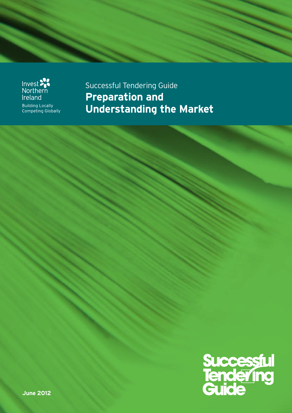

**Building Locally<br>Competing Globally** 

Successful Tendering Guide **Preparation and Understanding the Market**

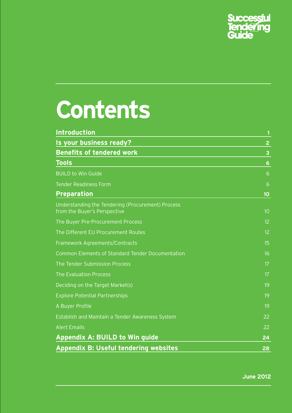

# **Contents**

| <b>Introduction</b><br>Is your business ready?<br><b>Benefits of tendered work</b> | 1               |
|------------------------------------------------------------------------------------|-----------------|
|                                                                                    | $\overline{2}$  |
|                                                                                    | 3               |
| <b>Tools</b>                                                                       | $6\phantom{1}6$ |
| <b>BUILD to Win Guide</b>                                                          | 6               |
| <b>Tender Readiness Form</b>                                                       | 6               |
| <b>Preparation</b>                                                                 | 10              |
| Understanding the Tendering (Procurement) Process<br>from the Buyer's Perspective  | 10              |
| The Buyer Pre-Procurement Process                                                  | 12              |
| The Different EU Procurement Routes                                                | 12              |
| Framework Agreements/Contracts                                                     | 15              |
| <b>Common Elements of Standard Tender Documentation</b>                            | 16              |
| The Tender Submission Process                                                      | 17              |
| <b>The Evaluation Process</b>                                                      | 17              |
| Deciding on the Target Market(s)                                                   | 19              |
| <b>Explore Potential Partnerships</b>                                              | 19              |
| A Buyer Profile                                                                    | 19              |
| <b>Establish and Maintain a Tender Awareness System</b>                            | 22              |
| <b>Alert Emails</b>                                                                | 22              |
| <b>Appendix A: BUILD to Win guide</b>                                              | 24              |
| <b>Appendix B: Useful tendering websites</b>                                       | 28              |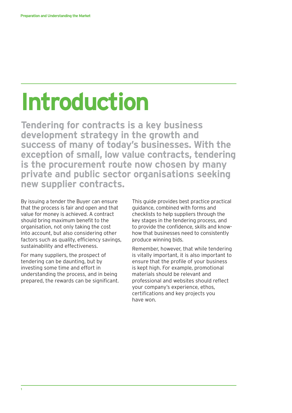# **Introduction**

**Tendering for contracts is a key business development strategy in the growth and success of many of today's businesses. With the exception of small, low value contracts, tendering is the procurement route now chosen by many private and public sector organisations seeking new supplier contracts.** 

By issuing a tender the Buyer can ensure that the process is fair and open and that value for money is achieved. A contract should bring maximum benefit to the organisation, not only taking the cost into account, but also considering other factors such as quality, efficiency savings, sustainability and effectiveness.

For many suppliers, the prospect of tendering can be daunting, but by investing some time and effort in understanding the process, and in being prepared, the rewards can be significant. This guide provides best practice practical guidance, combined with forms and checklists to help suppliers through the key stages in the tendering process, and to provide the confidence, skills and knowhow that businesses need to consistently produce winning bids.

Remember, however, that while tendering is vitally important, it is also important to ensure that the profile of your business is kept high. For example, promotional materials should be relevant and professional and websites should reflect your company's experience, ethos, certifications and key projects you have won.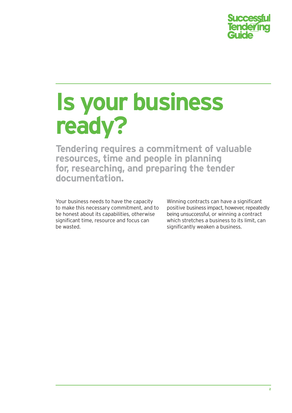

# **Is your business ready?**

**Tendering requires a commitment of valuable resources, time and people in planning for, researching, and preparing the tender documentation.** 

Your business needs to have the capacity to make this necessary commitment, and to be honest about its capabilities, otherwise significant time, resource and focus can be wasted.

Winning contracts can have a significant positive business impact, however, repeatedly being unsuccessful, or winning a contract which stretches a business to its limit, can significantly weaken a business.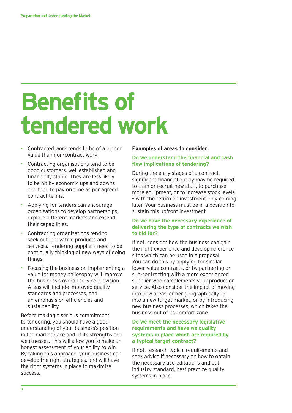# **Benefits of tendered work**

- Contracted work tends to be of a higher value than non-contract work.
- Contracting organisations tend to be good customers, well established and financially stable. They are less likely to be hit by economic ups and downs and tend to pay on time as per agreed contract terms.
- Applying for tenders can encourage organisations to develop partnerships, explore different markets and extend their capabilities.
- Contracting organisations tend to seek out innovative products and services. Tendering suppliers need to be continually thinking of new ways of doing things.
- Focusing the business on implementing a value for money philosophy will improve the business's overall service provision. Areas will include improved quality standards and processes, and an emphasis on efficiencies and sustainability.

Before making a serious commitment to tendering, you should have a good understanding of your business's position in the marketplace and of its strengths and weaknesses. This will allow you to make an honest assessment of your ability to win. By taking this approach, your business can develop the right strategies, and will have the right systems in place to maximise success.

#### **Examples of areas to consider:**

#### **Do we understand the financial and cash flow implications of tendering?**

During the early stages of a contract, significant financial outlay may be required to train or recruit new staff, to purchase more equipment, or to increase stock levels – with the return on investment only coming later. Your business must be in a position to sustain this upfront investment.

#### **Do we have the necessary experience of delivering the type of contracts we wish to bid for?**

If not, consider how the business can gain the right experience and develop reference sites which can be used in a proposal. You can do this by applying for similar, lower-value contracts, or by partnering or sub-contracting with a more experienced supplier who complements your product or service. Also consider the impact of moving into new areas, either geographically or into a new target market, or by introducing new business processes, which takes the business out of its comfort zone.

#### **Do we meet the necessary legislative requirements and have we quality systems in place which are required by a typical target contract?**

If not, research typical requirements and seek advice if necessary on how to obtain the necessary accreditations and put industry standard, best practice quality systems in place.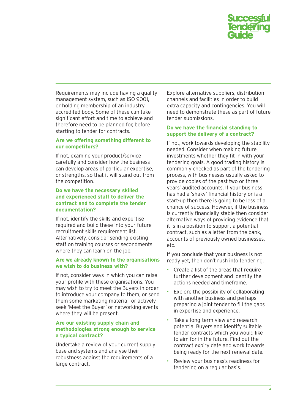

Requirements may include having a quality management system, such as ISO 9001, or holding membership of an industry accredited body. Some of these can take significant effort and time to achieve and therefore need to be planned for, before starting to tender for contracts.

#### **Are we offering something different to our competitors?**

If not, examine your product/service carefully and consider how the business can develop areas of particular expertise, or strengths, so that it will stand out from the competition.

#### **Do we have the necessary skilled and experienced staff to deliver the contract and to complete the tender documentation?**

If not, identify the skills and expertise required and build these into your future recruitment skills requirement list. Alternatively, consider sending existing staff on training courses or secondments where they can learn on the job.

#### **Are we already known to the organisations we wish to do business with?**

If not, consider ways in which you can raise your profile with these organisations. You may wish to try to meet the Buyers in order to introduce your company to them, or send them some marketing material, or actively seek 'Meet the Buyer' or networking events where they will be present.

#### **Are our existing supply chain and methodologies strong enough to service a typical contract?**

Undertake a review of your current supply base and systems and analyse their robustness against the requirements of a large contract.

Explore alternative suppliers, distribution channels and facilities in order to build extra capacity and contingencies. You will need to demonstrate these as part of future tender submissions.

#### **Do we have the financial standing to support the delivery of a contract?**

If not, work towards developing the stability needed. Consider when making future investments whether they fit in with your tendering goals. A good trading history is commonly checked as part of the tendering process, with businesses usually asked to provide copies of the past two or three years' audited accounts. If your business has had a 'shaky' financial history or is a start-up then there is going to be less of a chance of success. However, if the business is currently financially stable then consider alternative ways of providing evidence that it is in a position to support a potential contract, such as a letter from the bank, accounts of previously owned businesses, etc.

If you conclude that your business is not ready yet, then don't rush into tendering.

- Create a list of the areas that require further development and identify the actions needed and timeframe.
- Explore the possibility of collaborating with another business and perhaps preparing a joint tender to fill the gaps in expertise and experience.
- Take a long-term view and research potential Buyers and identify suitable tender contracts which you would like to aim for in the future. Find out the contract expiry date and work towards being ready for the next renewal date.
- Review your business's readiness for tendering on a regular basis.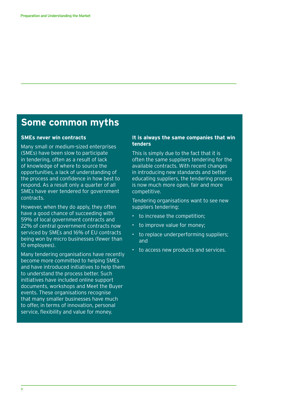# **Some common myths**

#### **SMEs never win contracts**

Many small or medium-sized enterprises (SMEs) have been slow to participate in tendering, often as a result of lack of knowledge of where to source the opportunities, a lack of understanding of the process and confidence in how best to respond. As a result only a quarter of all SMEs have ever tendered for government contracts.

However, when they do apply, they often have a good chance of succeeding with 59% of local government contracts and 22% of central government contracts now serviced by SMEs and 16% of EU contracts being won by micro businesses (fewer than 10 employees).

Many tendering organisations have recently become more committed to helping SMEs and have introduced initiatives to help them to understand the process better. Such initiatives have included online support documents, workshops and Meet the Buyer events. These organisations recognise that many smaller businesses have much to offer, in terms of innovation, personal service, flexibility and value for money.

#### **It is always the same companies that win tenders**

This is simply due to the fact that it is often the same suppliers tendering for the available contracts. With recent changes in introducing new standards and better educating suppliers, the tendering process is now much more open, fair and more competitive.

Tendering organisations want to see new suppliers tendering:

- to increase the competition;
- to improve value for money;
- to replace underperforming suppliers; and
- to access new products and services.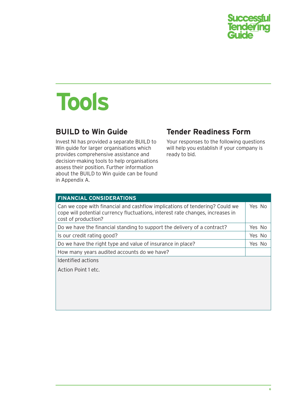

# **Tools**

# **BUILD to Win Guide**

Invest NI has provided a separate BUILD to Win guide for larger organisations which provides comprehensive assistance and decision-making tools to help organisations assess their position. Further information about the BUILD to Win guide can be found in Appendix A.

# **Tender Readiness Form**

Your responses to the following questions will help you establish if your company is ready to bid.

| <b>FINANCIAL CONSIDERATIONS</b>                                                                                                                                                      |        |
|--------------------------------------------------------------------------------------------------------------------------------------------------------------------------------------|--------|
| Can we cope with financial and cashflow implications of tendering? Could we<br>cope will potential currency fluctuations, interest rate changes, increases in<br>cost of production? | Yes No |
| Do we have the financial standing to support the delivery of a contract?                                                                                                             | Yes No |
| Is our credit rating good?                                                                                                                                                           | Yes No |
| Do we have the right type and value of insurance in place?                                                                                                                           | Yes No |
| How many years audited accounts do we have?                                                                                                                                          |        |
| Identified actions                                                                                                                                                                   |        |
| Action Point 1 etc.                                                                                                                                                                  |        |
|                                                                                                                                                                                      |        |
|                                                                                                                                                                                      |        |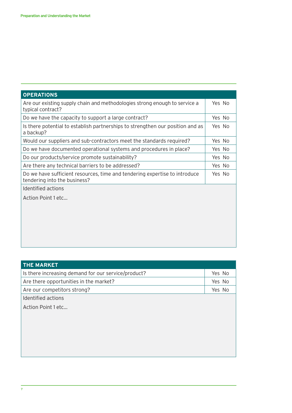| <b>OPERATIONS</b>                                                                                          |        |
|------------------------------------------------------------------------------------------------------------|--------|
| Are our existing supply chain and methodologies strong enough to service a<br>typical contract?            | Yes No |
| Do we have the capacity to support a large contract?                                                       | Yes No |
| Is there potential to establish partnerships to strengthen our position and as<br>a backup?                | Yes No |
| Would our suppliers and sub-contractors meet the standards required?                                       | Yes No |
| Do we have documented operational systems and procedures in place?                                         | Yes No |
| Do our products/service promote sustainability?                                                            | Yes No |
| Are there any technical barriers to be addressed?                                                          | Yes No |
| Do we have sufficient resources, time and tendering expertise to introduce<br>tendering into the business? | Yes No |
| Identified actions                                                                                         |        |
| Action Point 1 etc                                                                                         |        |
|                                                                                                            |        |
|                                                                                                            |        |
|                                                                                                            |        |
|                                                                                                            |        |
|                                                                                                            |        |
|                                                                                                            |        |

| <b>THE MARKET</b>                                   |        |
|-----------------------------------------------------|--------|
| Is there increasing demand for our service/product? | Yes No |
| Are there opportunities in the market?              | Yes No |
| Are our competitors strong?                         | Yes No |
| Identified actions                                  |        |
| Action Point 1 etc                                  |        |
|                                                     |        |
|                                                     |        |
|                                                     |        |
|                                                     |        |
|                                                     |        |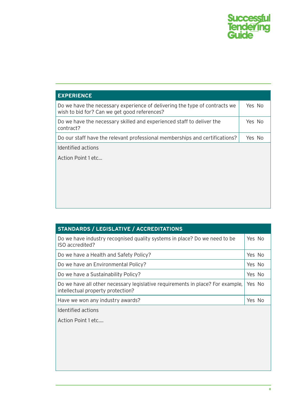

| <b>EXPERIENCE</b>                                                                                                          |        |
|----------------------------------------------------------------------------------------------------------------------------|--------|
| Do we have the necessary experience of delivering the type of contracts we<br>wish to bid for? Can we get good references? | Yes No |
| Do we have the necessary skilled and experienced staff to deliver the<br>contract?                                         | Yes No |
| Do our staff have the relevant professional memberships and certifications?                                                | Yes No |
| Identified actions                                                                                                         |        |
| Action Point 1 etc                                                                                                         |        |
|                                                                                                                            |        |
|                                                                                                                            |        |
|                                                                                                                            |        |
|                                                                                                                            |        |
|                                                                                                                            |        |

| STANDARDS / LEGISLATIVE / ACCREDITATIONS                                                                            |        |  |
|---------------------------------------------------------------------------------------------------------------------|--------|--|
| Do we have industry recognised quality systems in place? Do we need to be<br>ISO accredited?                        | Yes No |  |
| Do we have a Health and Safety Policy?                                                                              | Yes No |  |
| Do we have an Environmental Policy?                                                                                 | Yes No |  |
| Do we have a Sustainability Policy?                                                                                 | Yes No |  |
| Do we have all other necessary legislative requirements in place? For example,<br>intellectual property protection? | Yes No |  |
| Have we won any industry awards?                                                                                    | Yes No |  |
| Identified actions                                                                                                  |        |  |
| Action Point 1 etc                                                                                                  |        |  |
|                                                                                                                     |        |  |
|                                                                                                                     |        |  |
|                                                                                                                     |        |  |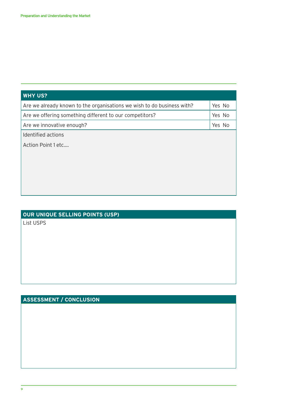| <b>WHY US?</b>                                                         |        |
|------------------------------------------------------------------------|--------|
| Are we already known to the organisations we wish to do business with? | Yes No |
| Are we offering something different to our competitors?                | Yes No |
| Are we innovative enough?                                              | Yes No |
| Identified actions                                                     |        |
| Action Point 1 etc                                                     |        |
|                                                                        |        |
|                                                                        |        |
|                                                                        |        |
|                                                                        |        |
|                                                                        |        |

# **OUR UNIQUE SELLING POINTS (USP)**

List USPS

## **ASSESSMENT / CONCLUSION**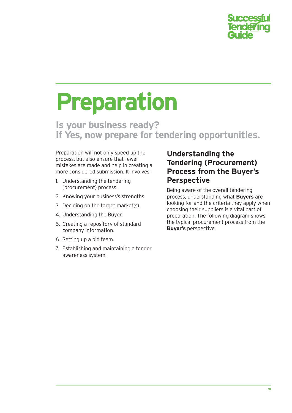

# **Preparation**

# **Is your business ready? If Yes, now prepare for tendering opportunities.**

Preparation will not only speed up the process, but also ensure that fewer mistakes are made and help in creating a more considered submission. It involves:

- 1. Understanding the tendering (procurement) process.
- 2. Knowing your business's strengths.
- 3. Deciding on the target market(s).
- 4. Understanding the Buyer.
- 5. Creating a repository of standard company information.
- 6. Setting up a bid team.
- 7. Establishing and maintaining a tender awareness system.

## **Understanding the Tendering (Procurement) Process from the Buyer's Perspective**

Being aware of the overall tendering process, understanding what **Buyers** are looking for and the criteria they apply when choosing their suppliers is a vital part of preparation. The following diagram shows the typical procurement process from the **Buyer's** perspective.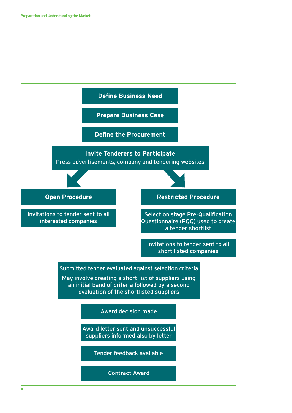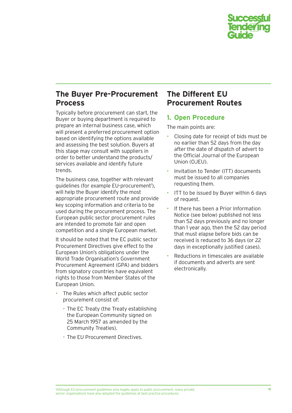

## **The Buyer Pre-Procurement Process**

Typically before procurement can start, the Buyer or buying department is required to prepare an internal business case, which will present a preferred procurement option based on identifying the options available and assessing the best solution. Buyers at this stage may consult with suppliers in order to better understand the products/ services available and identify future trends.

The business case, together with relevant guidelines (for example EU-procurement<sup>1</sup>), will help the Buyer identify the most appropriate procurement route and provide key scoping information and criteria to be used during the procurement process. The European public sector procurement rules are intended to promote fair and open competition and a single European market.

It should be noted that the EC public sector Procurement Directives give effect to the European Union's obligations under the World Trade Organisation's Government Procurement Agreement (GPA) and bidders from signatory countries have equivalent rights to those from Member States of the European Union.

- The Rules which affect public sector procurement consist of:
	- The EC Treaty (the Treaty establishing the European Community signed on 25 March 1957 as amended by the Community Treaties).
	- The EU Procurement Directives.

## **The Different EU Procurement Routes**

### **1. Open Procedure**

The main points are:

- Closing date for receipt of bids must be no earlier than 52 days from the day after the date of dIspatch of advert to the Official Journal of the European Union (OJEU).
- Invitation to Tender (ITT) documents must be issued to all companies requesting them.
- ITT to be issued by Buyer within 6 days of request.
- If there has been a Prior Information Notice (see below) published not less than 52 days previously and no longer than 1 year ago, then the 52 day period that must elapse before bids can be received is reduced to 36 days (or 22 days in exceptionally justified cases).
- Reductions in timescales are available if documents and adverts are sent electronically.

<sup>1</sup> Although EU-procurement guidelines only legally apply to public procurement, many private sector organisations have also adopted the guidelines at best practice procedures.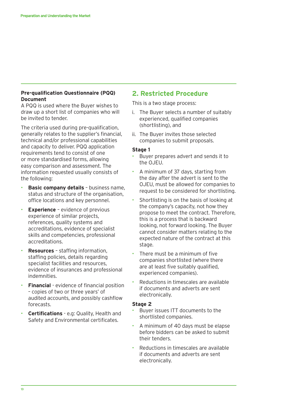#### **Pre-qualification Questionnaire (PQQ) Document**

A PQQ is used where the Buyer wishes to draw up a short list of companies who will be invited to tender.

The criteria used during pre-qualification, generally relates to the supplier's financial, technical and/or professional capabilities and capacity to deliver. PQQ application requirements tend to consist of one or more standardised forms, allowing easy comparison and assessment. The information requested usually consists of the following:

- **Basic company details** business name, status and structure of the organisation, office locations and key personnel.
- **Experience** evidence of previous experience of similar projects, references, quality systems and accreditations, evidence of specialist skills and competencies, professional accreditations.
- **Resources** staffing information, staffing policies, details regarding specialist facilities and resources, evidence of insurances and professional indemnities.
- **Financial**  evidence of financial position – copies of two or three years' of audited accounts, and possibly cashflow forecasts.
- **Certifications** e.g: Quality, Health and Safety and Environmental certificates.

### **2. Restricted Procedure**

This is a two stage process:

- i. The Buyer selects a number of suitably experienced, qualified companies (shortlisting), and
- ii. The Buyer invites those selected companies to submit proposals.

#### **Stage 1**

- Buyer prepares advert and sends it to the OJEU.
- A minimum of 37 days, starting from the day after the advert is sent to the OJEU, must be allowed for companies to request to be considered for shortlisting.
- Shortlisting is on the basis of looking at the company's capacity, not how they propose to meet the contract. Therefore, this is a process that is backward looking, not forward looking. The Buyer cannot consider matters relating to the expected nature of the contract at this stage.
- There must be a minimum of five companies shortlisted (where there are at least five suitably qualified, experienced companies).
- Reductions in timescales are available if documents and adverts are sent electronically.

#### **Stage 2**

- Buyer issues ITT documents to the shortlisted companies.
- A minimum of 40 days must be elapse before bidders can be asked to submit their tenders.
- Reductions in timescales are available if documents and adverts are sent electronically.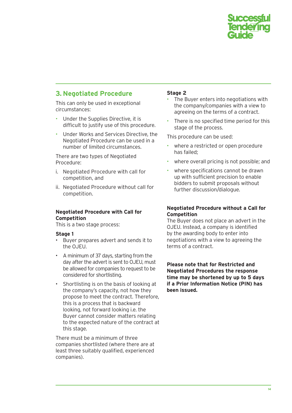

## **3. Negotiated Procedure**

This can only be used in exceptional circumstances:

- Under the Supplies Directive, it is difficult to justify use of this procedure.
- Under Works and Services Directive, the Negotiated Procedure can be used in a number of limited circumstances.

There are two types of Negotiated Procedure:

- i. Negotiated Procedure with call for competition, and
- ii. Negotiated Procedure without call for competition.

#### **Negotiated Procedure with Call for Competition**

This is a two stage process:

#### **Stage 1**

- Buyer prepares advert and sends it to the OJEU.
- A minimum of 37 days, starting from the day after the advert is sent to OJEU, must be allowed for companies to request to be considered for shortlisting.
- Shortlisting is on the basis of looking at the company's capacity, not how they propose to meet the contract. Therefore, this is a process that is backward looking, not forward looking i.e. the Buyer cannot consider matters relating to the expected nature of the contract at this stage.

There must be a minimum of three companies shortlisted (where there are at least three suitably qualified, experienced companies).

#### **Stage 2**

- The Buyer enters into negotiations with the company/companies with a view to agreeing on the terms of a contract.
- There is no specified time period for this stage of the process.

This procedure can be used:

- where a restricted or open procedure has failed;
- where overall pricing is not possible; and
- where specifications cannot be drawn up with sufficient precision to enable bidders to submit proposals without further discussion/dialogue.

#### **Negotiated Procedure without a Call for Competition**

The Buyer does not place an advert in the OJEU. Instead, a company is identified by the awarding body to enter into negotiations with a view to agreeing the terms of a contract.

**Please note that for Restricted and Negotiated Procedures the response time may be shortened by up to 5 days if a Prior Information Notice (PIN) has been issued.**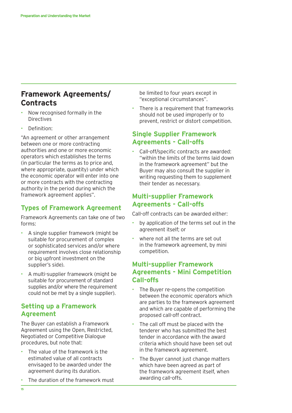# **Framework Agreements/ Contracts**

- Now recognised formally in the **Directives**
- Definition:

"An agreement or other arrangement between one or more contracting authorities and one or more economic operators which establishes the terms (in particular the terms as to price and, where appropriate, quantity) under which the economic operator will enter into one or more contracts with the contracting authority in the period during which the framework agreement applies".

## **Types of Framework Agreement**

Framework Agreements can take one of two forms:

- A single supplier framework (might be suitable for procurement of complex or sophisticated services and/or where requirement involves close relationship or big upfront investment on the supplier's side).
- A multi-supplier framework (might be suitable for procurement of standard supplies and/or where the requirement could not be met by a single supplier).

## **Setting up a Framework Agreement**

The Buyer can establish a Framework Agreement using the Open, Restricted, Negotiated or Competitive Dialogue procedures, but note that:

- The value of the framework is the estimated value of all contracts envisaged to be awarded under the agreement during its duration.
- The duration of the framework must

be limited to four years except in "exceptional circumstances".

There is a requirement that frameworks should not be used improperly or to prevent, restrict or distort competition.

### **Single Supplier Framework Agreements - Call-offs**

• Call-off/specific contracts are awarded: "within the limits of the terms laid down in the framework agreement" but the Buyer may also consult the supplier in writing requesting them to supplement their tender as necessary.

## **Multi-supplier Framework Agreements - Call-offs**

Call-off contracts can be awarded either:

- by application of the terms set out in the agreement itself; or
- where not all the terms are set out in the framework agreement, by mini competition.

### **Multi-supplier Framework Agreements - Mini Competition Call-offs**

- The Buyer re-opens the competition between the economic operators which are parties to the framework agreement and which are capable of performing the proposed call-off contract.
- The call off must be placed with the tenderer who has submitted the best tender in accordance with the award criteria which should have been set out in the framework agreement.
- The Buyer cannot just change matters which have been agreed as part of the framework agreement itself, when awarding call-offs.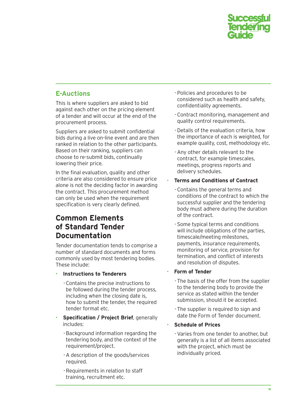

## **E-Auctions**

This is where suppliers are asked to bid against each other on the pricing element of a tender and will occur at the end of the procurement process.

Suppliers are asked to submit confidential bids during a live on-line event and are then ranked in relation to the other participants. Based on their ranking, suppliers can choose to re-submit bids, continually lowering their price.

In the final evaluation, quality and other criteria are also considered to ensure price alone is not the deciding factor in awarding the contract. This procurement method can only be used when the requirement specification is very clearly defined.

# **Common Elements of Standard Tender Documentation**

Tender documentation tends to comprise a number of standard documents and forms commonly used by most tendering bodies. These include:

- **Instructions to Tenderers** 
	- -Contains the precise instructions to be followed during the tender process, including when the closing date is, how to submit the tender, the required tender format etc.
- **Specification / Project Brief**, generally includes:
	- -Background information regarding the tendering body, and the context of the requirement/project.
	- -A description of the goods/services required.
	- -Requirements in relation to staff training, recruitment etc.
- -Policies and procedures to be considered such as health and safety, confidentiality agreements.
- -Contract monitoring, management and quality control requirements.
- -Details of the evaluation criteria, how the importance of each is weighted, for example quality, cost, methodology etc.
- -Any other details relevant to the contract, for example timescales, meetings, progress reports and delivery schedules.
- **Terms and Conditions of Contract**
	- -Contains the general terms and conditions of the contract to which the successful supplier and the tendering body must adhere during the duration of the contract.
	- -Some typical terms and conditions will include obligations of the parties, timescale/meeting milestones, payments, insurance requirements, monitoring of service, provision for termination, and conflict of interests and resolution of disputes.
- **Form of Tender**
	- -The basis of the offer from the supplier to the tendering body to provide the service as stated within the tender submission, should it be accepted.
	- -The supplier is required to sign and date the Form of Tender document.
- **Schedule of Prices**
	- -Varies from one tender to another, but generally is a list of all items associated with the project, which must be individually priced.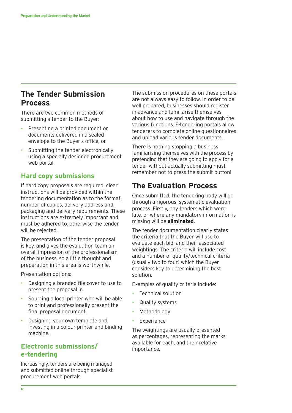# **The Tender Submission Process**

There are two common methods of submitting a tender to the Buyer:

- Presenting a printed document or documents delivered in a sealed envelope to the Buyer's office, or
- Submitting the tender electronically using a specially designed procurement web portal.

## **Hard copy submissions**

If hard copy proposals are required, clear instructions will be provided within the tendering documentation as to the format, number of copies, delivery address and packaging and delivery requirements. These instructions are extremely important and must be adhered to, otherwise the tender will be rejected.

The presentation of the tender proposal is key, and gives the evaluation team an overall impression of the professionalism of the business, so a little thought and preparation in this area is worthwhile.

Presentation options:

- Designing a branded file cover to use to present the proposal in.
- Sourcing a local printer who will be able to print and professionally present the final proposal document.
- Designing your own template and investing in a colour printer and binding machine.

## **Electronic submissions/ e-tendering**

Increasingly, tenders are being managed and submitted online through specialist procurement web portals.

The submission procedures on these portals are not always easy to follow. In order to be well prepared, businesses should register in advance and familiarise themselves about how to use and navigate through the various functions. E-tendering portals allow tenderers to complete online questionnaires and upload various tender documents.

There is nothing stopping a business familiarising themselves with the process by pretending that they are going to apply for a tender without actually submitting – just remember not to press the submit button!

# **The Evaluation Process**

Once submitted, the tendering body will go through a rigorous, systematic evaluation process. Firstly, any tenders which were late, or where any mandatory information is missing will be **eliminated**.

The tender documentation clearly states the criteria that the Buyer will use to evaluate each bid, and their associated weightings. The criteria will include cost and a number of quality/technical criteria (usually two to four) which the Buyer considers key to determining the best solution.

Examples of quality criteria include:

- Technical solution
- Quality systems
- Methodology
- **Experience**

The weightings are usually presented as percentages, representing the marks available for each, and their relative importance.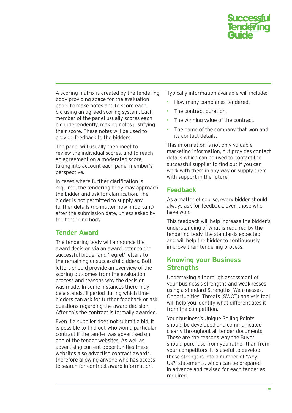

A scoring matrix is created by the tendering body providing space for the evaluation panel to make notes and to score each bid using an agreed scoring system. Each member of the panel usually scores each bid independently, making notes justifying their score. These notes will be used to provide feedback to the bidders.

The panel will usually then meet to review the individual scores, and to reach an agreement on a moderated score, taking into account each panel member's perspective.

In cases where further clarification is required, the tendering body may approach the bidder and ask for clarification. The bidder is not permitted to supply any further details (no matter how important) after the submission date, unless asked by the tendering body.

## **Tender Award**

The tendering body will announce the award decision via an award letter to the successful bidder and 'regret' letters to the remaining unsuccessful bidders. Both letters should provide an overview of the scoring outcomes from the evaluation process and reasons why the decision was made. In some instances there may be a standstill period during which time bidders can ask for further feedback or ask questions regarding the award decision. After this the contract is formally awarded.

Even if a supplier does not submit a bid, it is possible to find out who won a particular contract if the tender was advertised on one of the tender websites. As well as advertising current opportunities these websites also advertise contract awards, therefore allowing anyone who has access to search for contract award information.

Typically information available will include:

- How many companies tendered.
- The contract duration.
- The winning value of the contract.
- The name of the company that won and its contact details.

This information is not only valuable marketing information, but provides contact details which can be used to contact the successful supplier to find out if you can work with them in any way or supply them with support in the future.

### **Feedback**

As a matter of course, every bidder should always ask for feedback, even those who have won.

This feedback will help increase the bidder's understanding of what is required by the tendering body, the standards expected, and will help the bidder to continuously improve their tendering process.

### **Knowing your Business Strengths**

Undertaking a thorough assessment of your business's strengths and weaknesses using a standard Strengths, Weaknesses, Opportunities, Threats (SWOT) analysis tool will help you identify what differentiates it from the competition.

Your business's Unique Selling Points should be developed and communicated clearly throughout all tender documents. These are the reasons why the Buyer should purchase from you rather than from your competitors. It is useful to develop these strengths into a number of 'Why Us?' statements, which can be prepared in advance and revised for each tender as required.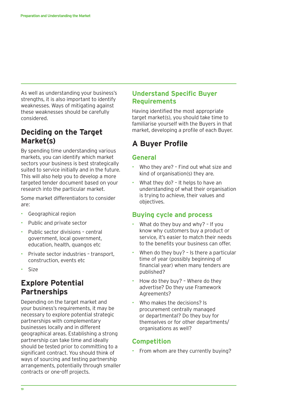As well as understanding your business's strengths, it is also important to identify weaknesses. Ways of mitigating against these weaknesses should be carefully considered.

# **Deciding on the Target Market(s)**

By spending time understanding various markets, you can identify which market sectors your business is best strategically suited to service initially and in the future. This will also help you to develop a more targeted tender document based on your research into the particular market.

Some market differentiators to consider are:

- Geographical region
- Public and private sector
- Public sector divisions central government, local government, education, health, quangos etc
- Private sector industries transport, construction, events etc
- **Size**

# **Explore Potential Partnerships**

Depending on the target market and your business's requirements, it may be necessary to explore potential strategic partnerships with complementary businesses locally and in different geographical areas. Establishing a strong partnership can take time and ideally should be tested prior to committing to a significant contract. You should think of ways of sourcing and testing partnership arrangements, potentially through smaller contracts or one-off projects.

### **Understand Specific Buyer Requirements**

Having identified the most appropriate target market(s), you should take time to familiarise yourself with the Buyers in that market, developing a profile of each Buyer.

# **A Buyer Profile**

### **General**

- Who they are? Find out what size and kind of organisation(s) they are.
- What they do? It helps to have an understanding of what their organisation is trying to achieve, their values and objectives.

### **Buying cycle and process**

- What do they buy and why? If you know why customers buy a product or service, it's easier to match their needs to the benefits your business can offer.
- When do they buy? Is there a particular time of year (possibly beginning of financial year) when many tenders are published?
- How do they buy? Where do they advertise? Do they use Framework Agreements?
- Who makes the decisions? Is procurement centrally managed or departmental? Do they buy for themselves or for other departments/ organisations as well?

## **Competition**

• From whom are they currently buying?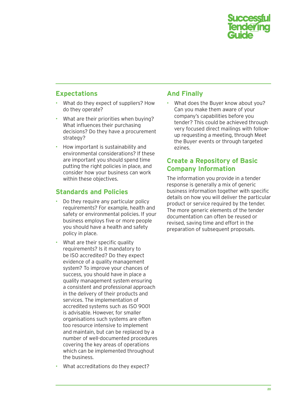

## **Expectations**

- What do they expect of suppliers? How do they operate?
- What are their priorities when buying? What influences their purchasing decisions? Do they have a procurement strategy?
- How important is sustainability and environmental considerations? If these are important you should spend time putting the right policies in place, and consider how your business can work within these objectives.

## **Standards and Policies**

- Do they require any particular policy requirements? For example, health and safety or environmental policies. If your business employs five or more people you should have a health and safety policy in place.
- What are their specific quality requirements? Is it mandatory to be ISO accredited? Do they expect evidence of a quality management system? To improve your chances of success, you should have in place a quality management system ensuring a consistent and professional approach in the delivery of their products and services. The implementation of accredited systems such as ISO 9001 is advisable. However, for smaller organisations such systems are often too resource intensive to implement and maintain, but can be replaced by a number of well-documented procedures covering the key areas of operations which can be implemented throughout the business.
- What accreditations do they expect?

## **And Finally**

• What does the Buyer know about you? Can you make them aware of your company's capabilities before you tender? This could be achieved through very focused direct mailings with followup requesting a meeting, through Meet the Buyer events or through targeted ezines.

## **Create a Repository of Basic Company Information**

The information you provide in a tender response is generally a mix of generic business information together with specific details on how you will deliver the particular product or service required by the tender. The more generic elements of the tender documentation can often be reused or revised, saving time and effort in the preparation of subsequent proposals.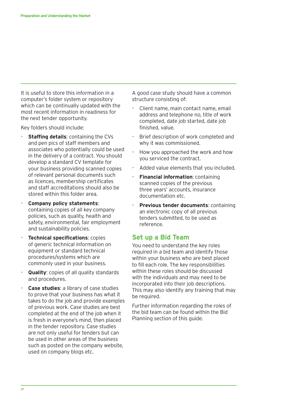It is useful to store this information in a computer's folder system or repository which can be continually updated with the most recent information in readiness for the next tender opportunity.

Key folders should include:

- **Staffing details**: containing the CVs and pen pics of staff members and associates who potentially could be used in the delivery of a contract. You should develop a standard CV template for your business providing scanned copies of relevant personal documents such as licences, membership certificates and staff accreditations should also be stored within this folder area.
- **Company policy statements**: containing copies of all key company policies, such as quality, health and safety, environmental, fair employment and sustainability policies.
- **Technical specifications**: copies of generic technical information on equipment or standard technical procedures/systems which are commonly used in your business.
- **Quality**: copies of all quality standards and procedures.
- **Case studies:** a library of case studies to prove that your business has what it takes to do the job and provide examples of previous work. Case studies are best completed at the end of the job when it is fresh in everyone's mind, then placed in the tender repository. Case studies are not only useful for tenders but can be used in other areas of the business such as posted on the company website, used on company blogs etc.

A good case study should have a common structure consisting of:

- Client name, main contact name, email address and telephone no, title of work completed, date job started, date job finished, value.
- Brief description of work completed and why it was commissioned.
- How you approached the work and how you serviced the contract.
- Added value elements that you included.
- **Financial information**: containing scanned copies of the previous three years' accounts, insurance documentation etc.
- **Previous tender documents**: containing an electronic copy of all previous tenders submitted, to be used as reference.

#### **Set up a Bid Team**

You need to understand the key roles required in a bid team and identify those within your business who are best placed to fill each role. The key responsibilities within these roles should be discussed with the individuals and may need to be incorporated into their job descriptions. This may also identify any training that may be required.

Further information regarding the roles of the bid team can be found within the Bid Planning section of this guide.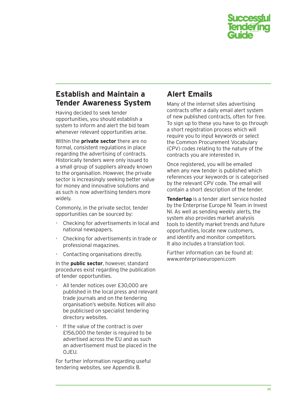

# **Establish and Maintain a Tender Awareness System**

Having decided to seek tender opportunities, you should establish a system to inform and alert the bid team whenever relevant opportunities arise.

Within the **private sector** there are no formal, consistent regulations in place regarding the advertising of contracts. Historically tenders were only issued to a small group of suppliers already known to the organisation. However, the private sector is increasingly seeking better value for money and innovative solutions and as such is now advertising tenders more widely.

Commonly, in the private sector, tender opportunities can be sourced by:

- Checking for advertisements in local and national newspapers.
- Checking for advertisements in trade or professional magazines.
- Contacting organisations directly.

In the **public sector**, however, standard procedures exist regarding the publication of tender opportunities.

- All tender notices over £30,000 are published in the local press and relevant trade journals and on the tendering organisation's website. Notices will also be publicised on specialist tendering directory websites.
- If the value of the contract is over £156,000 the tender is required to be advertised across the EU and as such an advertisement must be placed in the OJEU.

For further information regarding useful tendering websites, see Appendix B.

# **Alert Emails**

Many of the internet sites advertising contracts offer a daily email alert system of new published contracts, often for free. To sign up to these you have to go through a short registration process which will require you to input keywords or select the Common Procurement Vocabulary (CPV) codes relating to the nature of the contracts you are interested in.

Once registered, you will be emailed when any new tender is published which references your keywords or is categorised by the relevant CPV code. The email will contain a short description of the tender.

**Tendertap** is a tender alert service hosted by the Enterprise Europe NI Team in Invest NI. As well as sending weekly alerts, the system also provides market analysis tools to identify market trends and future opportunities, locate new customers, and identify and monitor competitors. It also includes a translation tool.

Further information can be found at: www.enterpriseeuropeni.com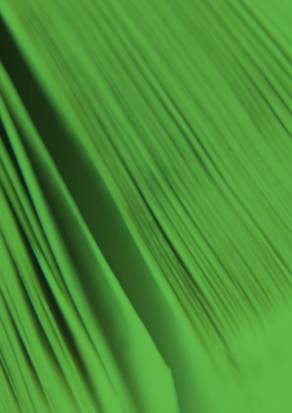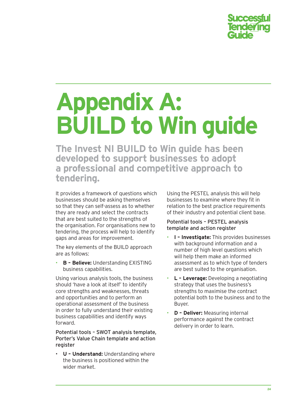

# **Appendix A: BUILD to Win guide**

**The Invest NI BUILD to Win guide has been developed to support businesses to adopt a professional and competitive approach to tendering.** 

It provides a framework of questions which businesses should be asking themselves so that they can self-assess as to whether they are ready and select the contracts that are best suited to the strengths of the organisation. For organisations new to tendering, the process will help to identify gaps and areas for improvement.

The key elements of the BUILD approach are as follows:

• **B – Believe:** Understanding EXISTING business capabilities.

Using various analysis tools, the business should 'have a look at itself' to identify core strengths and weaknesses, threats and opportunities and to perform an operational assessment of the business in order to fully understand their existing business capabilities and identify ways forward.

Potential tools – SWOT analysis template, Porter's Value Chain template and action register

• **U – Understand:** Understanding where the business is positioned within the wider market.

Using the PESTEL analysis this will help businesses to examine where they fit in relation to the best practice requirements of their industry and potential client base.

#### Potential tools – PESTEL analysis template and action register

- **I Investigate:** This provides businesses with background information and a number of high level questions which will help them make an informed assessment as to which type of tenders are best suited to the organisation.
- **L Leverage:** Developing a negotiating strategy that uses the business's strengths to maximise the contract potential both to the business and to the Buyer.
- **D Deliver:** Measuring internal performance against the contract delivery in order to learn.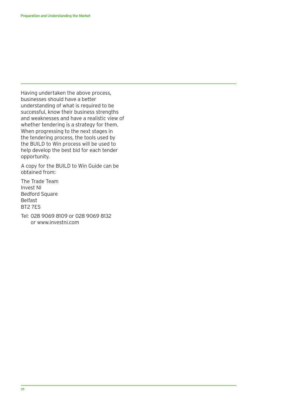Having undertaken the above process, businesses should have a better understanding of what is required to be successful, know their business strengths and weaknesses and have a realistic view of whether tendering is a strategy for them. When progressing to the next stages in the tendering process, the tools used by the BUILD to Win process will be used to help develop the best bid for each tender opportunity.

A copy for the BUILD to Win Guide can be obtained from:

The Trade Team Invest NI Bedford Square Belfast BT2 7ES

Tel: 028 9069 8109 or 028 9069 8132 or www.investni.com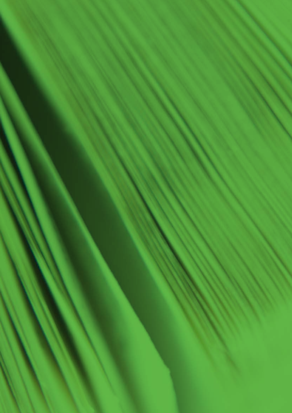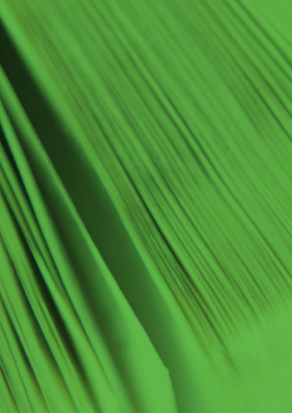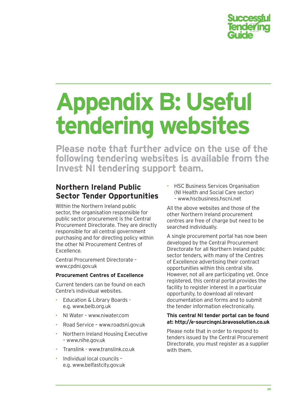

# **Appendix B: Useful tendering websites**

**Please note that further advice on the use of the following tendering websites is available from the Invest NI tendering support team.**

# **Northern Ireland Public Sector Tender Opportunities**

Within the Northern Ireland public sector, the organisation responsible for public sector procurement is the Central Procurement Directorate. They are directly responsible for all central government purchasing and for directing policy within the other NI Procurement Centres of Excellence.

Central Procurement Directorate – www.cpdni.gov.uk

#### **Procurement Centres of Excellence**

Current tenders can be found on each Centre's individual websites.

- Education & Library Boards e.g. www.belb.org.uk
- NI Water www.niwater.com
- Road Service www.roadsni.gov.uk
- Northern Ireland Housing Executive – www.nihe.gov.uk
- Translink www.translink.co.uk
- Individual local councils e.g. www.belfastcity.gov.uk

• HSC Business Services Organisation (NI Health and Social Care sector) – www.hscbusiness.hscni.net

All the above websites and those of the other Northern Ireland procurement centres are free of charge but need to be searched individually.

A single procurement portal has now been developed by the Central Procurement Directorate for all Northern Ireland public sector tenders, with many of the Centres of Excellence advertising their contract opportunities within this central site. However, not all are participating yet. Once registered, this central portal provides the facility to register interest in a particular opportunity, to download all relevant documentation and forms and to submit the tender information electronically.

#### **This central NI tender portal can be found at: http://e-sourcingni.bravosolution.co.uk**

Please note that in order to respond to tenders issued by the Central Procurement Directorate, you must register as a supplier with them.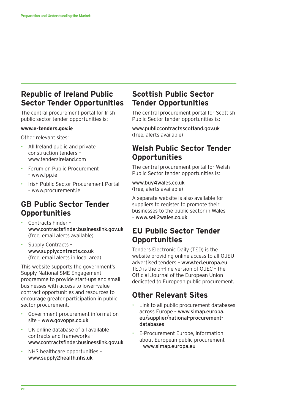# **Republic of Ireland Public Sector Tender Opportunities**

The central procurement portal for Irish public sector tender opportunities is:

#### **www.e-tenders.gov.ie**

Other relevant sites:

- All Ireland public and private construction tenders – www.tendersireland.com
- Forum on Public Procurement – www.fpp.ie
- Irish Public Sector Procurement Portal – www.procurement.ie

# **GB Public Sector Tender Opportunities**

- Contracts Finder www.contractsfinder.businesslink.gov.uk (free, email alerts available)
- Supply Contracts www.supplycontracts.co.uk (free, email alerts in local area)

This website supports the government's Supply National SME Engagement programme to provide start-ups and small businesses with access to lower-value contract opportunities and resources to encourage greater participation in public sector procurement.

- Government procurement information site – www.govopps.co.uk
- UK online database of all available contracts and frameworks – www.contractsfinder.businesslink.gov.uk
- NHS healthcare opportunities www.supply2health.nhs.uk

# **Scottish Public Sector Tender Opportunities**

The central procurement portal for Scottish Public Sector tender opportunities is:

www.publiccontractsscotland.gov.uk (free, alerts available)

# **Welsh Public Sector Tender Opportunities**

The central procurement portal for Welsh Public Sector tender opportunities is:

www.buy4wales.co.uk (free, alerts available)

A separate website is also available for suppliers to register to promote their businesses to the public sector in Wales – www.sell2wales.co.uk

# **EU Public Sector Tender Opportunities**

Tenders Electronic Daily (TED) is the website providing online access to all OJEU advertised tenders – www.ted.europa.eu TED is the on-line version of OJEC – the Official Journal of the European Union dedicated to European public procurement.

# **Other Relevant Sites**

- Link to all public procurement databases across Europe – www.simap.europa. eu/supplier/national-procurementdatabases
- E-Procurement Europe, information about European public procurement – www.simap.europa.eu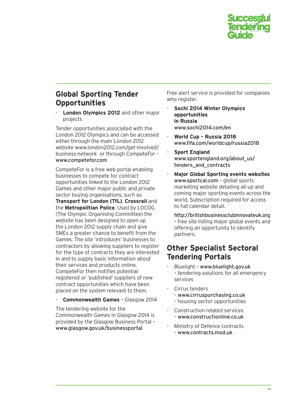

## **Global Sporting Tender Opportunities**

• **London Olympics 2012** and other major projects

Tender opportunities associated with the London 2012 Olympics and can be accessed either through the main London 2012 website www.london2012.com/get-involved/ business-network or through CompeteFor – www.competefor.com

CompeteFor is a free web portal enabling businesses to compete for contract opportunities linked to the London 2012 Games and other major public and private sector buying organisations, such as **Transport for London (TfL)**, **Crossrail** and the **Metropolitian Police**. Used by LOCOG (The Olympic Organising Committee) the website has been designed to open up the London 2012 supply chain and give SMEs a greater chance to benefit from the Games. The site 'introduces' businesses to contractors by allowing suppliers to register for the type of contracts they are interested in and to supply basic information about their services and products online. CompeteFor then notifies potential registered or 'published' suppliers of new contract opportunities which have been placed on the system relevant to them.

• **Commonwealth Games** – Glasgow 2014

The tendering website for the Commonwealth Games in Glasgow 2014 is provided by the Glasgow Business Portal – www.glasgow.gov.uk/businessportal

Free alert service is provided for companies who register.

- **Sochi 2014 Winter Olympics opportunities in Russia** www.sochi2014.com/en
- **World Cup Russia 2018** www.fifa.com/worldcup/russia2018
- **Sport England** www.sportengland.org/about\_us/ tenders\_and\_contracts
- **Major Global Sporting events websites** www.sportcal.com – global sports marketing website detailing all up and coming major sporting events across the world. Subscription required for access to full calendar detail.

http://britishbusinessclubinnovateuk.org - free site listing major global events and offering an opportunity to identify partners.

## **Other Specialist Sectoral Tendering Portals**

- Bluelight www.bluelight.gov.uk – tendering solutions for all emergency services
- Cirrus tenders – www.cirruspurchasing.co.uk – housing sector opportunities
- Construction related services – www.constructionline.co.uk
- Ministry of Defence contracts – www.contracts.mod.uk